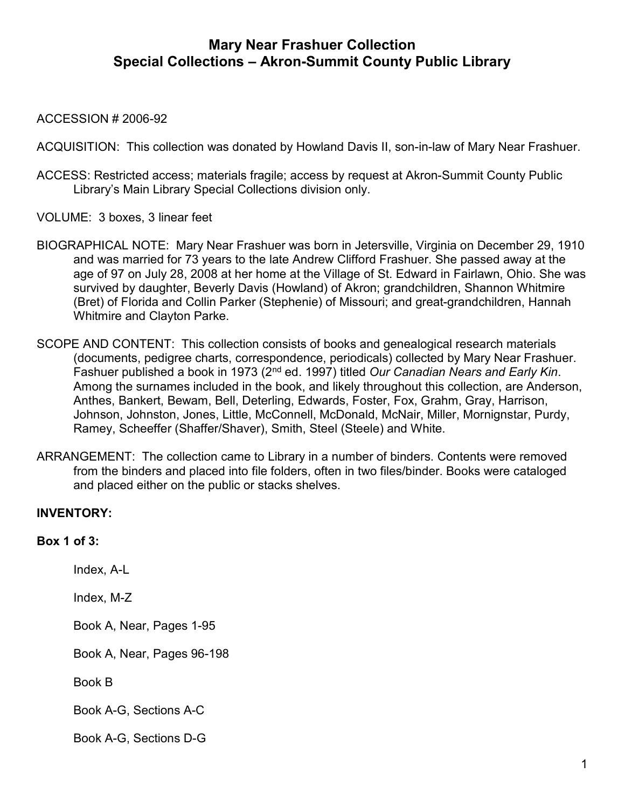#### ACCESSION # 2006-92

ACQUISITION: This collection was donated by Howland Davis II, son-in-law of Mary Near Frashuer.

- ACCESS: Restricted access; materials fragile; access by request at Akron-Summit County Public Library's Main Library Special Collections division only.
- VOLUME: 3 boxes, 3 linear feet
- BIOGRAPHICAL NOTE: Mary Near Frashuer was born in Jetersville, Virginia on December 29, 1910 and was married for 73 years to the late Andrew Clifford Frashuer. She passed away at the age of 97 on July 28, 2008 at her home at the Village of St. Edward in Fairlawn, Ohio. She was survived by daughter, Beverly Davis (Howland) of Akron; grandchildren, Shannon Whitmire (Bret) of Florida and Collin Parker (Stephenie) of Missouri; and great-grandchildren, Hannah Whitmire and Clayton Parke.
- SCOPE AND CONTENT: This collection consists of books and genealogical research materials (documents, pedigree charts, correspondence, periodicals) collected by Mary Near Frashuer. Fashuer published a book in 1973 (2<sup>nd</sup> ed. 1997) titled Our Canadian Nears and Early Kin. Among the surnames included in the book, and likely throughout this collection, are Anderson, Anthes, Bankert, Bewam, Bell, Deterling, Edwards, Foster, Fox, Grahm, Gray, Harrison, Johnson, Johnston, Jones, Little, McConnell, McDonald, McNair, Miller, Mornignstar, Purdy, Ramey, Scheeffer (Shaffer/Shaver), Smith, Steel (Steele) and White.
- ARRANGEMENT: The collection came to Library in a number of binders. Contents were removed from the binders and placed into file folders, often in two files/binder. Books were cataloged and placed either on the public or stacks shelves.

## INVENTORY:

#### Box 1 of 3:

Index, A-L

Index, M-Z

Book A, Near, Pages 1-95

Book A, Near, Pages 96-198

Book B

Book A-G, Sections A-C

Book A-G, Sections D-G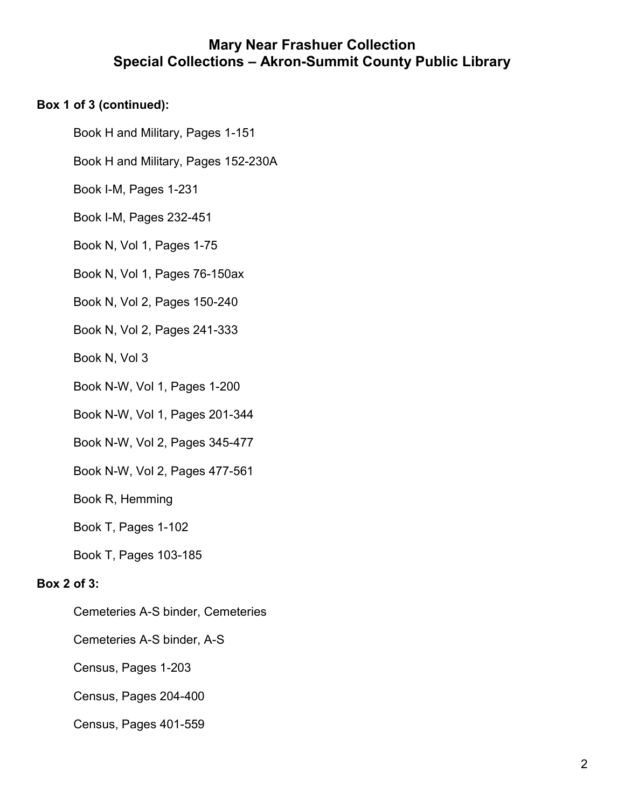## Box 1 of 3 (continued):

Book H and Military, Pages 1-151

Book H and Military, Pages 152-230A

Book I-M, Pages 1-231

Book I-M, Pages 232-451

Book N, Vol 1, Pages 1-75

Book N, Vol 1, Pages 76-150ax

Book N, Vol 2, Pages 150-240

Book N, Vol 2, Pages 241-333

Book N, Vol 3

Book N-W, Vol 1, Pages 1-200

Book N-W, Vol 1, Pages 201-344

Book N-W, Vol 2, Pages 345-477

Book N-W, Vol 2, Pages 477-561

Book R, Hemming

Book T, Pages 1-102

Book T, Pages 103-185

## Box 2 of 3:

Cemeteries A-S binder, Cemeteries

Cemeteries A-S binder, A-S

Census, Pages 1-203

Census, Pages 204-400

Census, Pages 401-559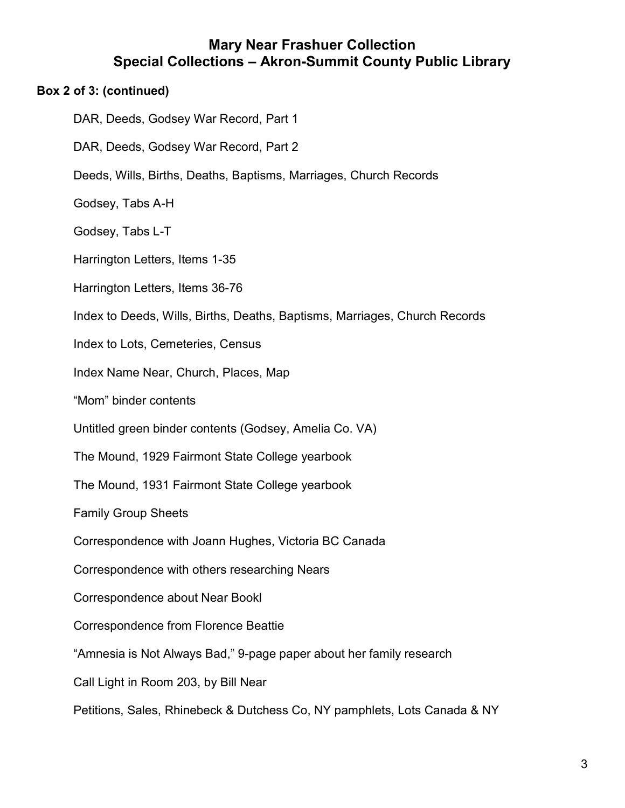## Box 2 of 3: (continued)

DAR, Deeds, Godsey War Record, Part 1 DAR, Deeds, Godsey War Record, Part 2 Deeds, Wills, Births, Deaths, Baptisms, Marriages, Church Records Godsey, Tabs A-H Godsey, Tabs L-T Harrington Letters, Items 1-35 Harrington Letters, Items 36-76 Index to Deeds, Wills, Births, Deaths, Baptisms, Marriages, Church Records Index to Lots, Cemeteries, Census Index Name Near, Church, Places, Map "Mom" binder contents Untitled green binder contents (Godsey, Amelia Co. VA) The Mound, 1929 Fairmont State College yearbook The Mound, 1931 Fairmont State College yearbook Family Group Sheets Correspondence with Joann Hughes, Victoria BC Canada Correspondence with others researching Nears Correspondence about Near Bookl Correspondence from Florence Beattie "Amnesia is Not Always Bad," 9-page paper about her family research Call Light in Room 203, by Bill Near Petitions, Sales, Rhinebeck & Dutchess Co, NY pamphlets, Lots Canada & NY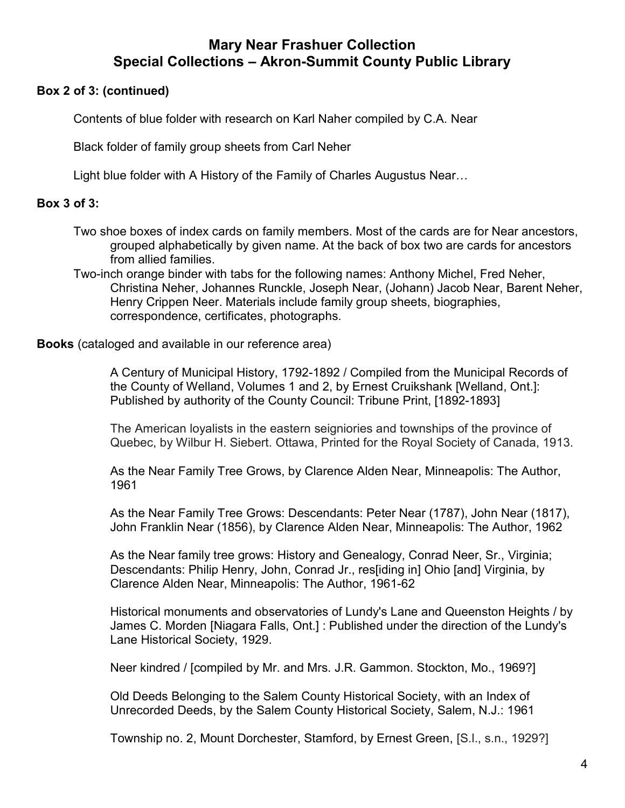#### Box 2 of 3: (continued)

Contents of blue folder with research on Karl Naher compiled by C.A. Near

Black folder of family group sheets from Carl Neher

Light blue folder with A History of the Family of Charles Augustus Near…

#### Box 3 of 3:

Two shoe boxes of index cards on family members. Most of the cards are for Near ancestors, grouped alphabetically by given name. At the back of box two are cards for ancestors from allied families.

Two-inch orange binder with tabs for the following names: Anthony Michel, Fred Neher, Christina Neher, Johannes Runckle, Joseph Near, (Johann) Jacob Near, Barent Neher, Henry Crippen Neer. Materials include family group sheets, biographies, correspondence, certificates, photographs.

Books (cataloged and available in our reference area)

A Century of Municipal History, 1792-1892 / Compiled from the Municipal Records of the County of Welland, Volumes 1 and 2, by Ernest Cruikshank [Welland, Ont.]: Published by authority of the County Council: Tribune Print, [1892-1893]

The American loyalists in the eastern seigniories and townships of the province of Quebec, by Wilbur H. Siebert. Ottawa, Printed for the Royal Society of Canada, 1913.

As the Near Family Tree Grows, by Clarence Alden Near, Minneapolis: The Author, 1961

As the Near Family Tree Grows: Descendants: Peter Near (1787), John Near (1817), John Franklin Near (1856), by Clarence Alden Near, Minneapolis: The Author, 1962

As the Near family tree grows: History and Genealogy, Conrad Neer, Sr., Virginia; Descendants: Philip Henry, John, Conrad Jr., res[iding in] Ohio [and] Virginia, by Clarence Alden Near, Minneapolis: The Author, 1961-62

Historical monuments and observatories of Lundy's Lane and Queenston Heights / by James C. Morden [Niagara Falls, Ont.] : Published under the direction of the Lundy's Lane Historical Society, 1929.

Neer kindred / [compiled by Mr. and Mrs. J.R. Gammon. Stockton, Mo., 1969?]

Old Deeds Belonging to the Salem County Historical Society, with an Index of Unrecorded Deeds, by the Salem County Historical Society, Salem, N.J.: 1961

Township no. 2, Mount Dorchester, Stamford, by Ernest Green, [S.l., s.n., 1929?]